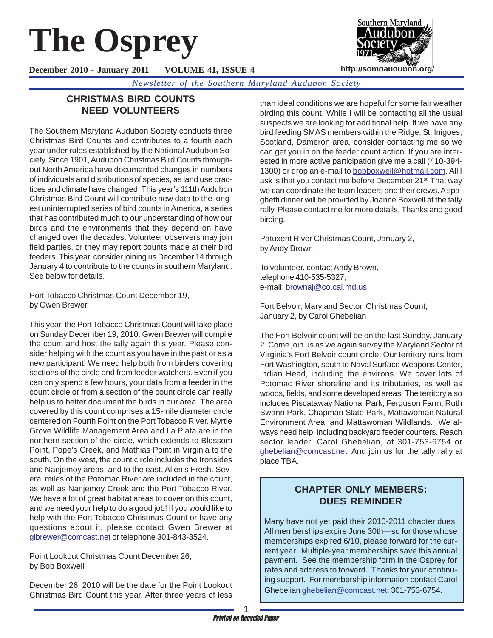# **The Osprey**

**December 2010 - January 2011 VOLUME 41, ISSUE 4**

*Newsletter of the Southern Maryland Audubon Society*

# **CHRISTMAS BIRD COUNTS NEED VOLUNTEERS**

The Southern Maryland Audubon Society conducts three Christmas Bird Counts and contributes to a fourth each year under rules established by the National Audubon Society. Since 1901, Audubon Christmas Bird Counts throughout North America have documented changes in numbers of individuals and distributions of species, as land use practices and climate have changed. This year's 111th Audubon Christmas Bird Count will contribute new data to the longest uninterrupted series of bird counts in America, a series that has contributed much to our understanding of how our birds and the environments that they depend on have changed over the decades. Volunteer observers may join field parties, or they may report counts made at their bird feeders. This year, consider joining us December 14 through January 4 to contribute to the counts in southern Maryland. See below for details.

Port Tobacco Christmas Count December 19, by Gwen Brewer

This year, the Port Tobacco Christmas Count will take place on Sunday December 19, 2010. Gwen Brewer will compile the count and host the tally again this year. Please consider helping with the count as you have in the past or as a new participant! We need help both from birders covering sections of the circle and from feeder watchers. Even if you can only spend a few hours, your data from a feeder in the count circle or from a section of the count circle can really help us to better document the birds in our area. The area covered by this count comprises a 15-mile diameter circle centered on Fourth Point on the Port Tobacco River. Myrtle Grove Wildlife Management Area and La Plata are in the northern section of the circle, which extends to Blossom Point, Pope's Creek, and Mathias Point in Virginia to the south. On the west, the count circle includes the Ironsides and Nanjemoy areas, and to the east, Allen's Fresh. Several miles of the Potomac River are included in the count, as well as Nanjemoy Creek and the Port Tobacco River. We have a lot of great habitat areas to cover on this count, and we need your help to do a good job! If you would like to help with the Port Tobacco Christmas Count or have any questions about it, please contact Gwen Brewer at glbrewer@comcast.net or telephone 301-843-3524.

Point Lookout Christmas Count December 26, by Bob Boxwell

December 26, 2010 will be the date for the Point Lookout Christmas Bird Count this year. After three years of less

than ideal conditions we are hopeful for some fair weather birding this count. While I will be contacting all the usual suspects we are looking for additional help. If we have any bird feeding SMAS members within the Ridge, St. Inigoes, Scotland, Dameron area, consider contacting me so we can get you in on the feeder count action. If you are interested in more active participation give me a call (410-394- 1300) or drop an e-mail to bobboxwell@hotmail.com. All I ask is that you contact me before December 21<sup>st.</sup> That way we can coordinate the team leaders and their crews. A spaghetti dinner will be provided by Joanne Boxwell at the tally rally. Please contact me for more details. Thanks and good birding.

Patuxent River Christmas Count, January 2, by Andy Brown

To volunteer, contact Andy Brown, telephone 410-535-5327, e-mail: brownaj@co.cal.md.us.

Fort Belvoir, Maryland Sector, Christmas Count, January 2, by Carol Ghebelian

The Fort Belvoir count will be on the last Sunday, January 2. Come join us as we again survey the Maryland Sector of Virginia's Fort Belvoir count circle. Our territory runs from Fort Washington, south to Naval Surface Weapons Center, Indian Head, including the environs. We cover lots of Potomac River shoreline and its tributaries, as well as woods, fields, and some developed areas. The territory also includes Piscataway National Park, Ferguson Farm, Ruth Swann Park, Chapman State Park, Mattawoman Natural Environment Area, and Mattawoman Wildlands. We always need help, including backyard feeder counters. Reach sector leader, Carol Ghebelian, at 301-753-6754 or ghebelian@comcast.net. And join us for the tally rally at place TBA.

# **CHAPTER ONLY MEMBERS: DUES REMINDER**

Many have not yet paid their 2010-2011 chapter dues. All memberships expire June 30th—so for those whose memberships expired 6/10, please forward for the current year. Multiple-year memberships save this annual payment. See the membership form in the Osprey for rates and address to forward. Thanks for your continuing support. For membership information contact Carol Ghebelian ghebelian@comcast.net; 301-753-6754.

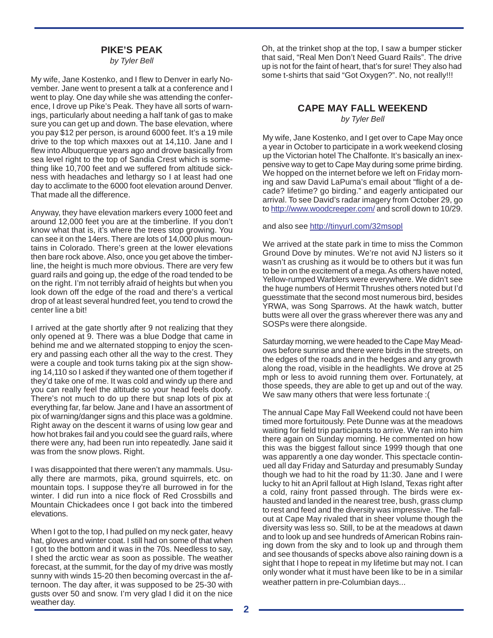## **PIKE'S PEAK**

*by Tyler Bell*

My wife, Jane Kostenko, and I flew to Denver in early November. Jane went to present a talk at a conference and I went to play. One day while she was attending the conference, I drove up Pike's Peak. They have all sorts of warnings, particularly about needing a half tank of gas to make sure you can get up and down. The base elevation, where you pay \$12 per person, is around 6000 feet. It's a 19 mile drive to the top which maxxes out at 14,110. Jane and I flew into Albuquerque years ago and drove basically from sea level right to the top of Sandia Crest which is something like 10,700 feet and we suffered from altitude sickness with headaches and lethargy so I at least had one day to acclimate to the 6000 foot elevation around Denver. That made all the difference.

Anyway, they have elevation markers every 1000 feet and around 12,000 feet you are at the timberline. If you don't know what that is, it's where the trees stop growing. You can see it on the 14ers. There are lots of 14,000 plus mountains in Colorado. There's green at the lower elevations then bare rock above. Also, once you get above the timberline, the height is much more obvious. There are very few guard rails and going up, the edge of the road tended to be on the right. I'm not terribly afraid of heights but when you look down off the edge of the road and there's a vertical drop of at least several hundred feet, you tend to crowd the center line a bit!

I arrived at the gate shortly after 9 not realizing that they only opened at 9. There was a blue Dodge that came in behind me and we alternated stopping to enjoy the scenery and passing each other all the way to the crest. They were a couple and took turns taking pix at the sign showing 14,110 so I asked if they wanted one of them together if they'd take one of me. It was cold and windy up there and you can really feel the altitude so your head feels doofy. There's not much to do up there but snap lots of pix at everything far, far below. Jane and I have an assortment of pix of warning/danger signs and this place was a goldmine. Right away on the descent it warns of using low gear and how hot brakes fail and you could see the guard rails, where there were any, had been run into repeatedly. Jane said it was from the snow plows. Right.

I was disappointed that there weren't any mammals. Usually there are marmots, pika, ground squirrels, etc. on mountain tops. I suppose they're all burrowed in for the winter. I did run into a nice flock of Red Crossbills and Mountain Chickadees once I got back into the timbered elevations.

When I got to the top, I had pulled on my neck gater, heavy hat, gloves and winter coat. I still had on some of that when I got to the bottom and it was in the 70s. Needless to say, I shed the arctic wear as soon as possible. The weather forecast, at the summit, for the day of my drive was mostly sunny with winds 15-20 then becoming overcast in the afternoon. The day after, it was supposed to be 25-30 with gusts over 50 and snow. I'm very glad I did it on the nice weather day.

Oh, at the trinket shop at the top, I saw a bumper sticker that said, "Real Men Don't Need Guard Rails". The drive up is not for the faint of heart, that's for sure! They also had some t-shirts that said "Got Oxygen?". No, not really!!!

## **CAPE MAY FALL WEEKEND**

*by Tyler Bell*

My wife, Jane Kostenko, and I get over to Cape May once a year in October to participate in a work weekend closing up the Victorian hotel The Chalfonte. It's basically an inexpensive way to get to Cape May during some prime birding. We hopped on the internet before we left on Friday morning and saw David LaPuma's email about "flight of a decade? lifetime? go birding." and eagerly anticipated our arrival. To see David's radar imagery from October 29, go to http://www.woodcreeper.com/ and scroll down to 10/29.

### and also see http://tinyurl.com/32msopl

We arrived at the state park in time to miss the Common Ground Dove by minutes. We're not avid NJ listers so it wasn't as crushing as it would be to others but it was fun to be in on the excitement of a mega. As others have noted, Yellow-rumped Warblers were everywhere. We didn't see the huge numbers of Hermit Thrushes others noted but I'd guesstimate that the second most numerous bird, besides YRWA, was Song Sparrows. At the hawk watch, butter butts were all over the grass wherever there was any and SOSPs were there alongside.

Saturday morning, we were headed to the Cape May Meadows before sunrise and there were birds in the streets, on the edges of the roads and in the hedges and any growth along the road, visible in the headlights. We drove at 25 mph or less to avoid running them over. Fortunately, at those speeds, they are able to get up and out of the way. We saw many others that were less fortunate :(

The annual Cape May Fall Weekend could not have been timed more fortuitously. Pete Dunne was at the meadows waiting for field trip participants to arrive. We ran into him there again on Sunday morning. He commented on how this was the biggest fallout since 1999 though that one was apparently a one day wonder. This spectacle continued all day Friday and Saturday and presumably Sunday though we had to hit the road by 11:30. Jane and I were lucky to hit an April fallout at High Island, Texas right after a cold, rainy front passed through. The birds were exhausted and landed in the nearest tree, bush, grass clump to rest and feed and the diversity was impressive. The fallout at Cape May rivaled that in sheer volume though the diversity was less so. Still, to be at the meadows at dawn and to look up and see hundreds of American Robins raining down from the sky and to look up and through them and see thousands of specks above also raining down is a sight that I hope to repeat in my lifetime but may not. I can only wonder what it must have been like to be in a similar weather pattern in pre-Columbian days...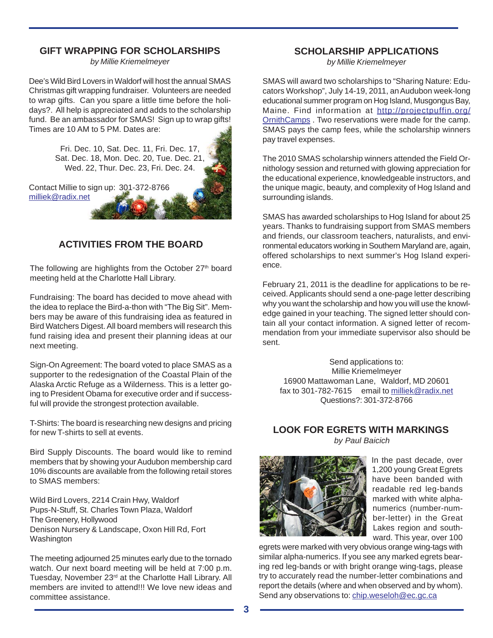## **GIFT WRAPPING FOR SCHOLARSHIPS**

*by Millie Kriemelmeyer*

Dee's Wild Bird Lovers in Waldorf will host the annual SMAS Christmas gift wrapping fundraiser. Volunteers are needed to wrap gifts. Can you spare a little time before the holidays?. All help is appreciated and adds to the scholarship fund. Be an ambassador for SMAS! Sign up to wrap gifts! Times are 10 AM to 5 PM. Dates are:

> Fri. Dec. 10, Sat. Dec. 11, Fri. Dec. 17, Sat. Dec. 18, Mon. Dec. 20, Tue. Dec. 21, Wed. 22, Thur. Dec. 23, Fri. Dec. 24.

Contact Millie to sign up: 301-372-8766 milliek@radix.net

# **ACTIVITIES FROM THE BOARD**

The following are highlights from the October 27<sup>th</sup> board meeting held at the Charlotte Hall Library.

Fundraising: The board has decided to move ahead with the idea to replace the Bird-a-thon with "The Big Sit". Members may be aware of this fundraising idea as featured in Bird Watchers Digest. All board members will research this fund raising idea and present their planning ideas at our next meeting.

Sign-On Agreement: The board voted to place SMAS as a supporter to the redesignation of the Coastal Plain of the Alaska Arctic Refuge as a Wilderness. This is a letter going to President Obama for executive order and if successful will provide the strongest protection available.

T-Shirts: The board is researching new designs and pricing for new T-shirts to sell at events.

Bird Supply Discounts. The board would like to remind members that by showing your Audubon membership card 10% discounts are available from the following retail stores to SMAS members:

Wild Bird Lovers, 2214 Crain Hwy, Waldorf Pups-N-Stuff, St. Charles Town Plaza, Waldorf The Greenery, Hollywood Denison Nursery & Landscape, Oxon Hill Rd, Fort Washington

The meeting adjourned 25 minutes early due to the tornado watch. Our next board meeting will be held at 7:00 p.m. Tuesday, November 23<sup>rd</sup> at the Charlotte Hall Library. All members are invited to attend!!! We love new ideas and committee assistance.

# **SCHOLARSHIP APPLICATIONS**

*by Millie Kriemelmeyer*

SMAS will award two scholarships to "Sharing Nature: Educators Workshop", July 14-19, 2011, an Audubon week-long educational summer program on Hog Island, Musgongus Bay, Maine. Find information at http://projectpuffin.org/ OrnithCamps . Two reservations were made for the camp. SMAS pays the camp fees, while the scholarship winners pay travel expenses.

The 2010 SMAS scholarship winners attended the Field Ornithology session and returned with glowing appreciation for the educational experience, knowledgeable instructors, and the unique magic, beauty, and complexity of Hog Island and surrounding islands.

SMAS has awarded scholarships to Hog Island for about 25 years. Thanks to fundraising support from SMAS members and friends, our classroom teachers, naturalists, and environmental educators working in Southern Maryland are, again, offered scholarships to next summer's Hog Island experience.

February 21, 2011 is the deadline for applications to be received. Applicants should send a one-page letter describing why you want the scholarship and how you will use the knowledge gained in your teaching. The signed letter should contain all your contact information. A signed letter of recommendation from your immediate supervisor also should be sent.

Send applications to: Millie Kriemelmeyer 16900 Mattawoman Lane, Waldorf, MD 20601 fax to 301-782-7615 email to milliek@radix.net Questions?: 301-372-8766

## **LOOK FOR EGRETS WITH MARKINGS**  *by Paul Baicich*



In the past decade, over 1,200 young Great Egrets have been banded with readable red leg-bands marked with white alphanumerics (number-number-letter) in the Great Lakes region and southward. This year, over 100

egrets were marked with very obvious orange wing-tags with similar alpha-numerics. If you see any marked egrets bearing red leg-bands or with bright orange wing-tags, please try to accurately read the number-letter combinations and report the details (where and when observed and by whom). Send any observations to: chip.weseloh@ec.gc.ca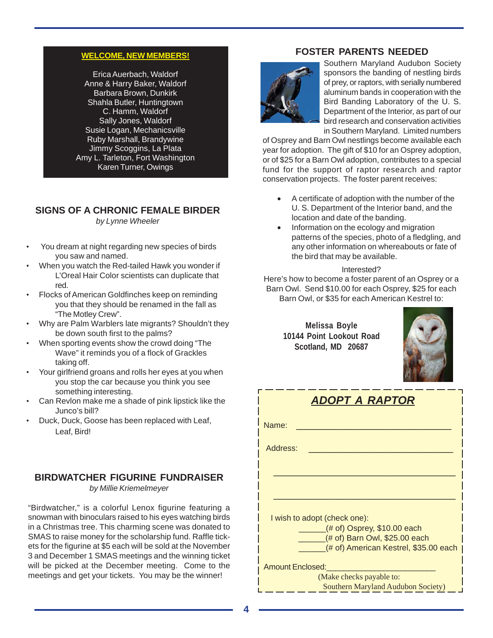## **WELCOME, NEW MEMBERS!**

Erica Auerbach, Waldorf Anne & Harry Baker, Waldorf Barbara Brown, Dunkirk Shahla Butler, Huntingtown C. Hamm, Waldorf Sally Jones, Waldorf Susie Logan, Mechanicsville Ruby Marshall, Brandywine Jimmy Scoggins, La Plata Amy L. Tarleton, Fort Washington Karen Turner, Owings

# **SIGNS OF A CHRONIC FEMALE BIRDER**

*by Lynne Wheeler*

- You dream at night regarding new species of birds you saw and named.
- When you watch the Red-tailed Hawk you wonder if L'Oreal Hair Color scientists can duplicate that red.
- Flocks of American Goldfinches keep on reminding you that they should be renamed in the fall as "The Motley Crew".
- Why are Palm Warblers late migrants? Shouldn't they be down south first to the palms?
- When sporting events show the crowd doing "The Wave" it reminds you of a flock of Grackles taking off.
- Your girlfriend groans and rolls her eyes at you when you stop the car because you think you see something interesting.
- Can Revlon make me a shade of pink lipstick like the Junco's bill?
- Duck, Duck, Goose has been replaced with Leaf, Leaf, Bird!

## **BIRDWATCHER FIGURINE FUNDRAISER**

*by Millie Kriemelmeyer*

"Birdwatcher," is a colorful Lenox figurine featuring a snowman with binoculars raised to his eyes watching birds in a Christmas tree. This charming scene was donated to SMAS to raise money for the scholarship fund. Raffle tickets for the figurine at \$5 each will be sold at the November 3 and December 1 SMAS meetings and the winning ticket will be picked at the December meeting. Come to the meetings and get your tickets. You may be the winner!

## **FOSTER PARENTS NEEDED**



Southern Maryland Audubon Society sponsors the banding of nestling birds of prey, or raptors, with serially numbered aluminum bands in cooperation with the Bird Banding Laboratory of the U. S. Department of the Interior, as part of our bird research and conservation activities in Southern Maryland. Limited numbers

of Osprey and Barn Owl nestlings become available each year for adoption. The gift of \$10 for an Osprey adoption, or of \$25 for a Barn Owl adoption, contributes to a special fund for the support of raptor research and raptor conservation projects. The foster parent receives:

- A certificate of adoption with the number of the U. S. Department of the Interior band, and the location and date of the banding.
- Information on the ecology and migration patterns of the species, photo of a fledgling, and any other information on whereabouts or fate of the bird that may be available.

## Interested?

Here's how to become a foster parent of an Osprey or a Barn Owl. Send \$10.00 for each Osprey, \$25 for each Barn Owl, or \$35 for each American Kestrel to:

**Melissa Boyle 10144 Point Lookout Road Scotland, MD 20687**



| ADOPT A RAPTOR                                                         |  |  |  |  |  |
|------------------------------------------------------------------------|--|--|--|--|--|
| Name:                                                                  |  |  |  |  |  |
| Address:                                                               |  |  |  |  |  |
|                                                                        |  |  |  |  |  |
|                                                                        |  |  |  |  |  |
| I wish to adopt (check one):                                           |  |  |  |  |  |
| $($ # of) Osprey, \$10.00 each                                         |  |  |  |  |  |
| (# of) Barn Owl, \$25.00 each<br>(# of) American Kestrel, \$35.00 each |  |  |  |  |  |
| <b>Amount Enclosed:</b>                                                |  |  |  |  |  |
| (Make checks payable to:                                               |  |  |  |  |  |
| Southern Maryland Audubon Society)                                     |  |  |  |  |  |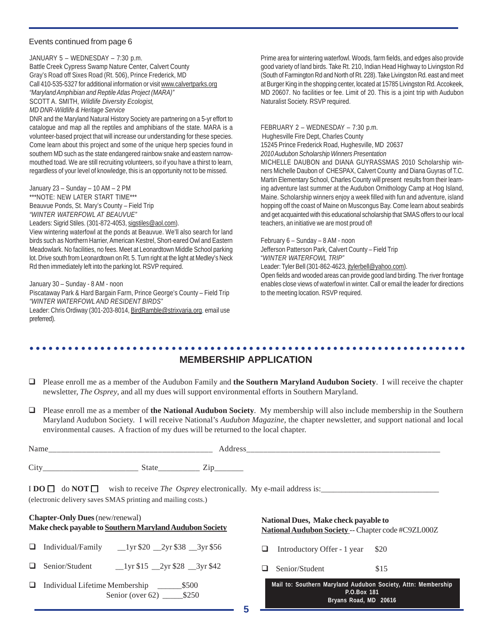## Events continued from page 6

JANUARY 5 – WEDNESDAY – 7:30 p.m. Battle Creek Cypress Swamp Nature Center, Calvert County Gray's Road off Sixes Road (Rt. 506), Prince Frederick, MD Call 410-535-5327 for additional information or visit www.calvertparks.org *"Maryland Amphibian and Reptile Atlas Project (MARA)"* SCOTT A. SMITH, *Wildlife Diversity Ecologist, MD DNR-Wildlife & Heritage Service*

DNR and the Maryland Natural History Society are partnering on a 5-yr effort to catalogue and map all the reptiles and amphibians of the state. MARA is a volunteer-based project that will increase our understanding for these species. Come learn about this project and some of the unique herp species found in southern MD such as the state endangered rainbow snake and eastern narrowmouthed toad. We are still recruiting volunteers, so if you have a thirst to learn, regardless of your level of knowledge, this is an opportunity not to be missed.

January 23 – Sunday – 10 AM – 2 PM

\*\*\*NOTE: NEW LATER START TIME\*\*\* Beauvue Ponds, St. Mary's County – Field Trip *"WINTER WATERFOWL AT BEAUVUE"*

Leaders: Sigrid Stiles. (301-872-4053, sigstiles@aol.com).

View wintering waterfowl at the ponds at Beauvue. We'll also search for land birds such as Northern Harrier, American Kestrel, Short-eared Owl and Eastern Meadowlark. No facilities, no fees. Meet at Leonardtown Middle School parking lot. Drive south from Leonardtown on Rt. 5. Turn right at the light at Medley's Neck Rd then immediately left into the parking lot. RSVP required.

January 30 – Sunday - 8 AM - noon

Piscataway Park & Hard Bargain Farm, Prince George's County – Field Trip *"WINTER WATERFOWL AND RESIDENT BIRDS"*

Leader: Chris Ordiway (301-203-8014, BirdRamble@strixvaria.org, email use preferred).

Prime area for wintering waterfowl. Woods, farm fields, and edges also provide good variety of land birds. Take Rt. 210, Indian Head Highway to Livingston Rd (South of Farmington Rd and North of Rt. 228). Take Livingston Rd. east and meet at Burger King in the shopping center, located at 15785 Livingston Rd. Accokeek, MD 20607. No facilities or fee. Limit of 20. This is a joint trip with Audubon Naturalist Society. RSVP required.

FEBRUARY 2 – WEDNESDAY – 7:30 p.m. Hughesville Fire Dept, Charles County

15245 Prince Frederick Road, Hughesville, MD 20637

*2010 Audubon Scholarship Winners Presentation*

MICHELLE DAUBON and DIANA GUYRASSMAS 2010 Scholarship winners Michelle Daubon of CHESPAX, Calvert County and Diana Guyras of T.C. Martin Elementary School, Charles County will present results from their learning adventure last summer at the Audubon Ornithology Camp at Hog Island, Maine. Scholarship winners enjoy a week filled with fun and adventure, island hopping off the coast of Maine on Muscongus Bay. Come learn about seabirds and get acquainted with this educational scholarship that SMAS offers to our local teachers, an initiative we are most proud of!

#### February 6 – Sunday – 8 AM - noon

Jefferson Patterson Park, Calvert County – Field Trip "*WINTER WATERFOWL TRIP"*

Leader: Tyler Bell (301-862-4623, jtylerbell@yahoo.com).

Open fields and wooded areas can provide good land birding. The river frontage enables close views of waterfowl in winter. Call or email the leader for directions to the meeting location. RSVP required.

### ○○○○○○○○○○○○○○○○○○○○○○○○○○○○○○○○○○○○○○○○○○○○ ○○○○○○○○○○○○○○○○○○○○○○○○ **MEMBERSHIP APPLICATION**

- Please enroll me as a member of the Audubon Family and **the Southern Maryland Audubon Society**. I will receive the chapter newsletter, *The Osprey*, and all my dues will support environmental efforts in Southern Maryland.
- Please enroll me as a member of **the National Audubon Society**. My membership will also include membership in the Southern Maryland Audubon Society. I will receive National's *Audubon Magazine*, the chapter newsletter, and support national and local environmental causes. A fraction of my dues will be returned to the local chapter.

| Name                                                                                              |                                                                                            |
|---------------------------------------------------------------------------------------------------|--------------------------------------------------------------------------------------------|
|                                                                                                   |                                                                                            |
| (electronic delivery saves SMAS printing and mailing costs.)                                      |                                                                                            |
| <b>Chapter-Only Dues</b> (new/renewal)<br>Make check payable to Southern Maryland Audubon Society | National Dues, Make check payable to<br>National Audubon Society -- Chapter code #C9ZL000Z |
| $\Box$ Individual/Family $\Box$ 1 yr \$20 $\Box$ 2 yr \$38 $\Box$ 3 yr \$56                       | $\Box$ Introductory Offer - 1 year \$20                                                    |

- $\Box$  Senior/Student  $\Box$ 1yr \$15  $\Box$ 2yr \$28  $\Box$ 3yr \$42
- Individual Lifetime Membership \_\_\_\_\_\_\$500 Senior (over 62) \_\_\_\_\_\_\_ \$250

Introductory Offer - 1 year \$20

 $\Box$  Senior/Student \$15

|             |  |  |  |                       |  |  | Mail to: Southern Maryland Audubon Society, Attn: Membership |  |
|-------------|--|--|--|-----------------------|--|--|--------------------------------------------------------------|--|
| P.O.Box 181 |  |  |  |                       |  |  |                                                              |  |
|             |  |  |  | Bryans Road, MD 20616 |  |  |                                                              |  |